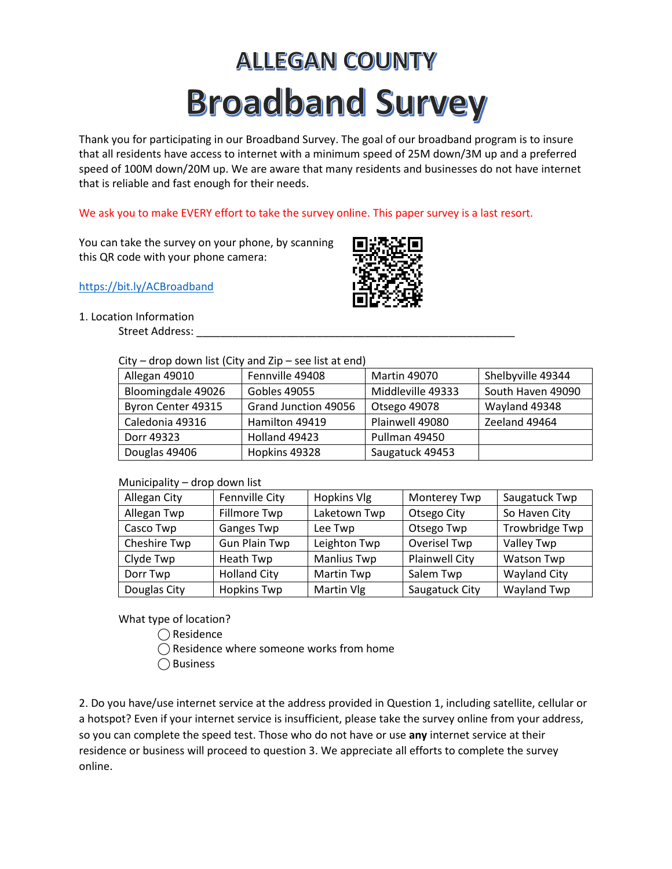## **ALLEGAN COUNTY Broadband Survey**

Thank you for participating in our Broadband Survey. The goal of our broadband program is to insure that all residents have access to internet with a minimum speed of 25M down/3M up and a preferred speed of 100M down/20M up. We are aware that many residents and businesses do not have internet that is reliable and fast enough for their needs.

We ask you to make EVERY effort to take the survey online. This paper survey is a last resort.

You can take the survey on your phone, by scanning this QR code with your phone camera:





- 1. Location Information
	- Street Address:

 $City$  – drop down list (City and Zip – see list at end)

| Allegan 49010      | Fennville 49408      | <b>Martin 49070</b> | Shelbyville 49344 |
|--------------------|----------------------|---------------------|-------------------|
| Bloomingdale 49026 | <b>Gobles 49055</b>  | Middleville 49333   | South Haven 49090 |
| Byron Center 49315 | Grand Junction 49056 | Otsego 49078        | Wayland 49348     |
| Caledonia 49316    | Hamilton 49419       | Plainwell 49080     | Zeeland 49464     |
| Dorr 49323         | Holland 49423        | Pullman 49450       |                   |
| Douglas 49406      | Hopkins 49328        | Saugatuck 49453     |                   |

## Municipality – drop down list

| Allegan City | Fennville City       | Hopkins Vlg        | Monterey Twp          | Saugatuck Twp       |
|--------------|----------------------|--------------------|-----------------------|---------------------|
| Allegan Twp  | Fillmore Twp         | Laketown Twp       | Otsego City           | So Haven City       |
| Casco Twp    | <b>Ganges Twp</b>    | Lee Twp            | Otsego Twp            | Trowbridge Twp      |
| Cheshire Twp | <b>Gun Plain Twp</b> | Leighton Twp       | Overisel Twp          | Valley Twp          |
| Clyde Twp    | Heath Twp            | <b>Manlius Twp</b> | <b>Plainwell City</b> | <b>Watson Twp</b>   |
| Dorr Twp     | <b>Holland City</b>  | <b>Martin Twp</b>  | Salem Twp             | <b>Wayland City</b> |
| Douglas City | <b>Hopkins Twp</b>   | Martin Vlg         | Saugatuck City        | <b>Wayland Twp</b>  |

What type of location?

◯ Residence

- ◯ Residence where someone works from home
- $\bigcap$  Business

2. Do you have/use internet service at the address provided in Question 1, including satellite, cellular or a hotspot? Even if your internet service is insufficient, please take the survey online from your address, so you can complete the speed test. Those who do not have or use **any** internet service at their residence or business will proceed to question 3. We appreciate all efforts to complete the survey online.